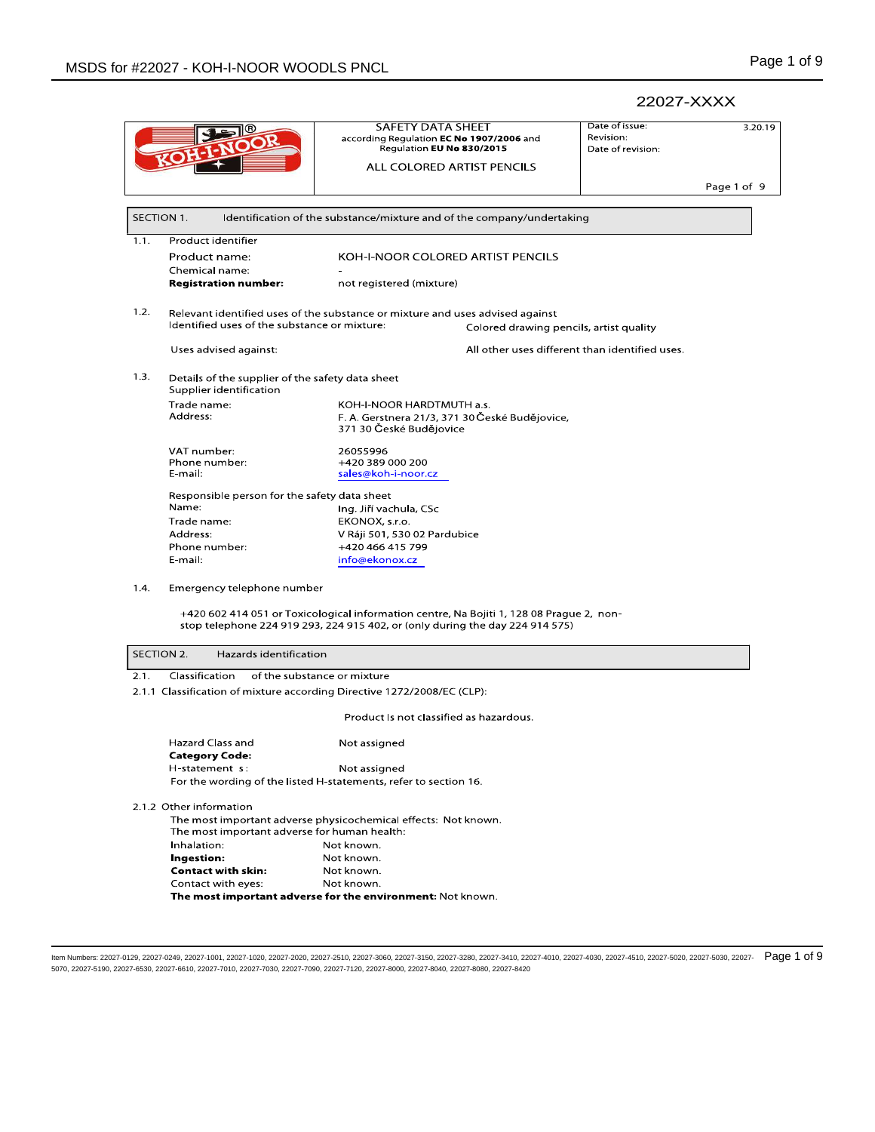# 22027-XXXX Date of issue:  $3.20.19$ Revision:

**SAFETY DATA SHEET** according Regulation **EC No 1907/2006** and<br>Regulation **EU No 830/2015** Date of revision: ALL COLORED ARTIST PENCILS Page 1 of 9 SECTION 1. Identification of the substance/mixture and of the company/undertaking  $1.1.$ Product identifier Product name: KOH-I-NOOR COLORED ARTIST PENCILS Chemical name: **Registration number:** not registered (mixture)  $1.2.$ Relevant identified uses of the substance or mixture and uses advised against Identified uses of the substance or mixture: Colored drawing pencils, artist quality All other uses different than identified uses. Uses advised against:  $1.3.$ Details of the supplier of the safety data sheet Supplier identification Trade name: KOH-I-NOOR HARDTMUTH a.s. Address: F. A. Gerstnera 21/3, 371 30 České Budějovice, 371 30 České Budějovice VAT number: 26055996 +420 389 000 200 Phone number: sales@koh-i-noor.cz E-mail: Responsible person for the safety data sheet Name: Ing. Jiří vachula, CSc Trade name: EKONOX, s.r.o. V Ráji 501, 530 02 Pardubice Address: Phone number: +420 466 415 799 E mail: info@ekonox.cz  $1.4.$ Emergency telephone number +420 602 414 051 or Toxicological information centre, Na Bojiti 1, 128 08 Prague 2, nonstop telephone 224 919 293, 224 915 402, or (only during the day 224 914 575) SECTION 2. Hazards identification  $2.1.$ Classification of the substance or mixture 2.1.1 Classification of mixture according Directive 1272/2008/EC (CLP): Product Is not classified as hazardous. Hazard Class and Not assigned **Category Code:** H-statement s: Not assigned For the wording of the listed H-statements, refer to section 16. 2.1.2 Other information The most important adverse physicochemical effects: Not known. The most important adverse for human health: Inhalation: Not known. Ingestion: Not known. **Contact with skin:** Not known. Contact with eyes: Not known. The most important adverse for the environment: Not known.

ltem Numbers: 22027-0129, 22027-0249, 22027-1001, 22027-1020, 22027-2020, 22027-3510, 22027-3060, 22027-33150, 22027-3380, 22027-3410, 22027-4010, 22027-4030, 22027-4510, 22027-5020, 22027-5030, 22027-679, 22027-4510, 2202 5070, 22027-5190, 22027-6530, 22027-6610, 22027-7010, 22027-7030, 22027-7090, 22027-7120, 22027-8000, 22027-8040, 22027-8080, 22027-8420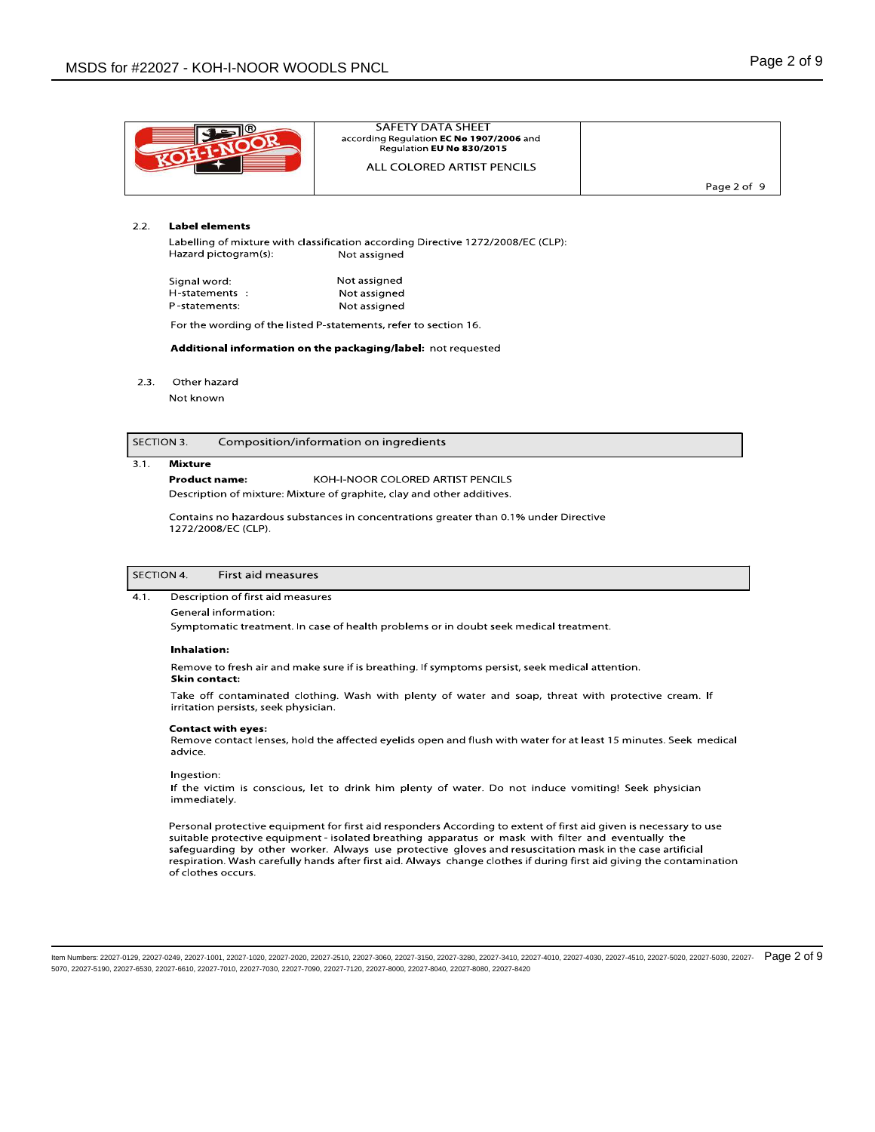| SAFETY DATA SHEET<br>according Regulation EC No 1907/2006 and<br>Regulation EU No 830/2015 |             |
|--------------------------------------------------------------------------------------------|-------------|
| ALL COLORED ARTIST PENCILS                                                                 |             |
|                                                                                            | Page 2 of 9 |

### $2.2.$ **Label elements**

Labelling of mixture with classification according Directive 1272/2008/EC (CLP): Hazard pictogram(s): Not assigned

Not assigned Signal word: H-statements : Not assigned P-statements: Not assigned

For the wording of the listed P-statements, refer to section 16.

Additional information on the packaging/label: not requested

 $2.3.$ Other hazard

Not known

### SECTION 3. Composition/information on ingredients

### $\overline{3.1}$ . **Mixture**

## **Product name:** KOH-I-NOOR COLORED ARTIST PENCILS

Description of mixture: Mixture of graphite, clay and other additives.

Contains no hazardous substances in concentrations greater than 0.1% under Directive 1272/2008/EC (CLP).

| SECTION 4. | First aid measures |
|------------|--------------------|
|------------|--------------------|

 $4.1.$ Description of first aid measures

General information:

Symptomatic treatment. In case of health problems or in doubt seek medical treatment.

# **Inhalation:**

Remove to fresh air and make sure if is breathing. If symptoms persist, seek medical attention. **Skin contact:** 

Take off contaminated clothing. Wash with plenty of water and soap, threat with protective cream. If irritation persists, seek physician.

# **Contact with eves:**

Remove contact lenses, hold the affected eyelids open and flush with water for at least 15 minutes. Seek medical advice.

Ingestion:

If the victim is conscious, let to drink him plenty of water. Do not induce vomiting! Seek physician immediately.

Personal protective equipment for first aid responders According to extent of first aid given is necessary to use suitable protective equipment - isolated breathing apparatus or mask with filter and eventually the safeguarding by other worker. Always use protective gloves and resuscitation mask in the case artificial respiration. Wash carefully hands after first aid. Always change clothes if during first aid giving the contamination of clothes occurs.

Item Numbers: 22027-0129, 22027-0249, 22027-1001, 22027-1020, 22027-2020, 22027-2510, 22027-3060, 22027-3150, 22027-3480, 22027-3410, 22027-4010, 22027-4030, 22027-4610, 22027-55020, 22027-5030, 22027-6780, 22027-46310, 22 5070, 22027-5190, 22027-6530, 22027-6610, 22027-7010, 22027-7030, 22027-7090, 22027-7120, 22027-8000, 22027-8040, 22027-8080, 22027-8420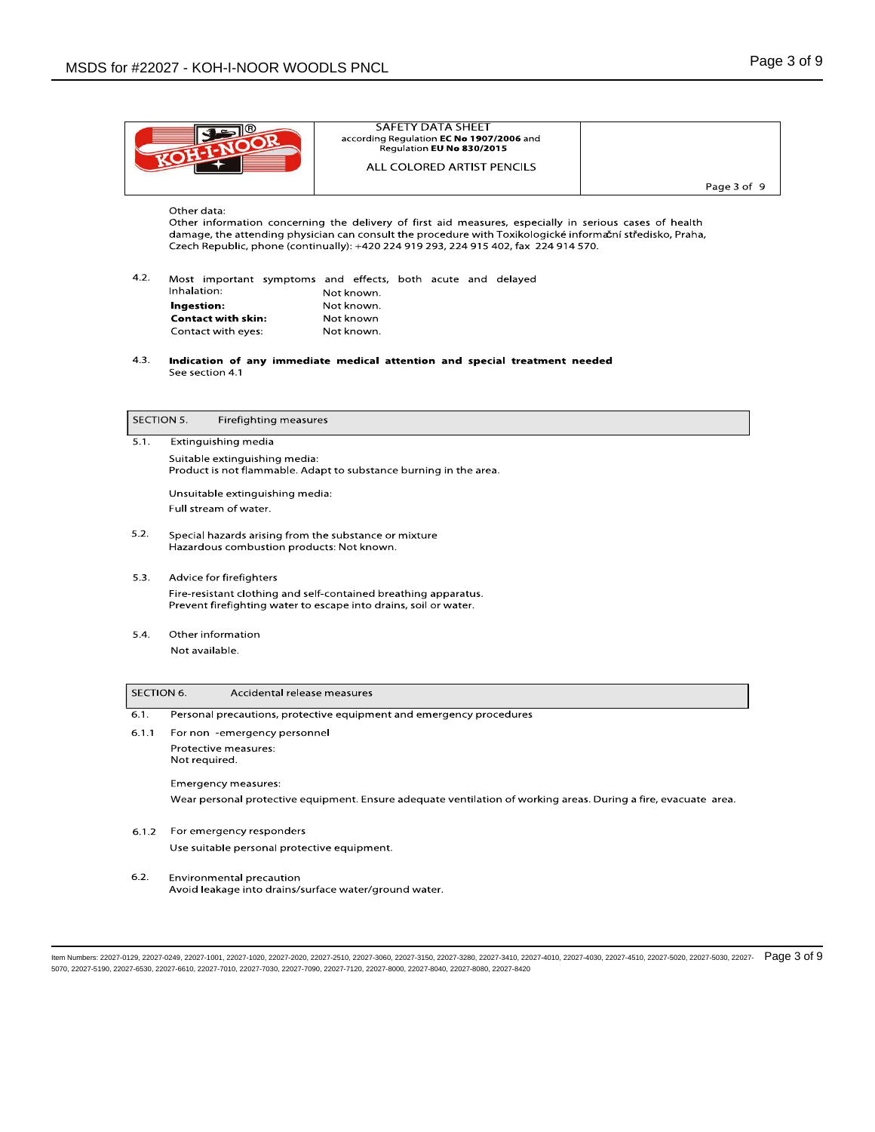| SAFETY DATA SHEET<br>according Regulation EC No 1907/2006 and<br>Regulation EU No 830/2015<br>ALL COLORED ARTIST PENCILS |             |
|--------------------------------------------------------------------------------------------------------------------------|-------------|
|                                                                                                                          | Page 3 of 9 |

# Other data:

Other information concerning the delivery of first aid measures, especially in serious cases of health damage, the attending physician can consult the procedure with Toxikologické informační středisko, Praha, Czech Republic, phone (continually): +420 224 919 293, 224 915 402, fax 224 914 570.

| Inhalation:<br>Ingestion: |  |            |                                                 |  |                                       |  |                                                             |
|---------------------------|--|------------|-------------------------------------------------|--|---------------------------------------|--|-------------------------------------------------------------|
|                           |  | Not known. |                                                 |  |                                       |  |                                                             |
|                           |  |            |                                                 |  |                                       |  |                                                             |
|                           |  |            |                                                 |  |                                       |  |                                                             |
|                           |  |            | <b>Contact with skin:</b><br>Contact with eyes: |  | Not known.<br>Not known<br>Not known. |  | Most important symptoms and effects, both acute and delayed |

 $4.3.$ Indication of any immediate medical attention and special treatment needed See section 4.1

SECTION 5. Firefighting measures

 $5.1.$ Extinguishing media Suitable extinguishing media: Product is not flammable. Adapt to substance burning in the area. Unsuitable extinguishing media:

Full stream of water.

- $5.2.$ Special hazards arising from the substance or mixture Hazardous combustion products: Not known.
- $5.3.$ Advice for firefighters Fire-resistant clothing and self-contained breathing apparatus. Prevent firefighting water to escape into drains, soil or water.
- $5.4.$ Other information Not available.

| SECTION 6. | Accidental release measures                                                                                     |
|------------|-----------------------------------------------------------------------------------------------------------------|
| 6.1.       | Personal precautions, protective equipment and emergency procedures                                             |
| 6.1.1      | For non -emergency personne                                                                                     |
|            | Protective measures:<br>Not required.                                                                           |
|            | Emergency measures:                                                                                             |
|            | Wear personal protective equipment. Ensure adequate ventilation of working areas. During a fire, evacuate area. |
| 6.1.2      | For emergency responders                                                                                        |
|            | Use suitable personal protective equipment.                                                                     |

 $6.2.$ Environmental precaution Avoid leakage into drains/surface water/ground water.

Item Numbers: 22027-0129, 22027-0249, 22027-1001, 22027-1020, 22027-2020, 22027-2510, 22027-3060, 22027-3150, 22027-3280, 22027-3410, 22027-4010, 22027-4030, 22027-4510, 22027-5020, 22027-5030, 22027- 030, 22027-5070, 22027-5190, 22027-6530, 22027-6610, 22027-7010, 22027-7030, 22027-7090, 22027-7120, 22027-8000, 22027-8040, 22027-8080, 22027-8420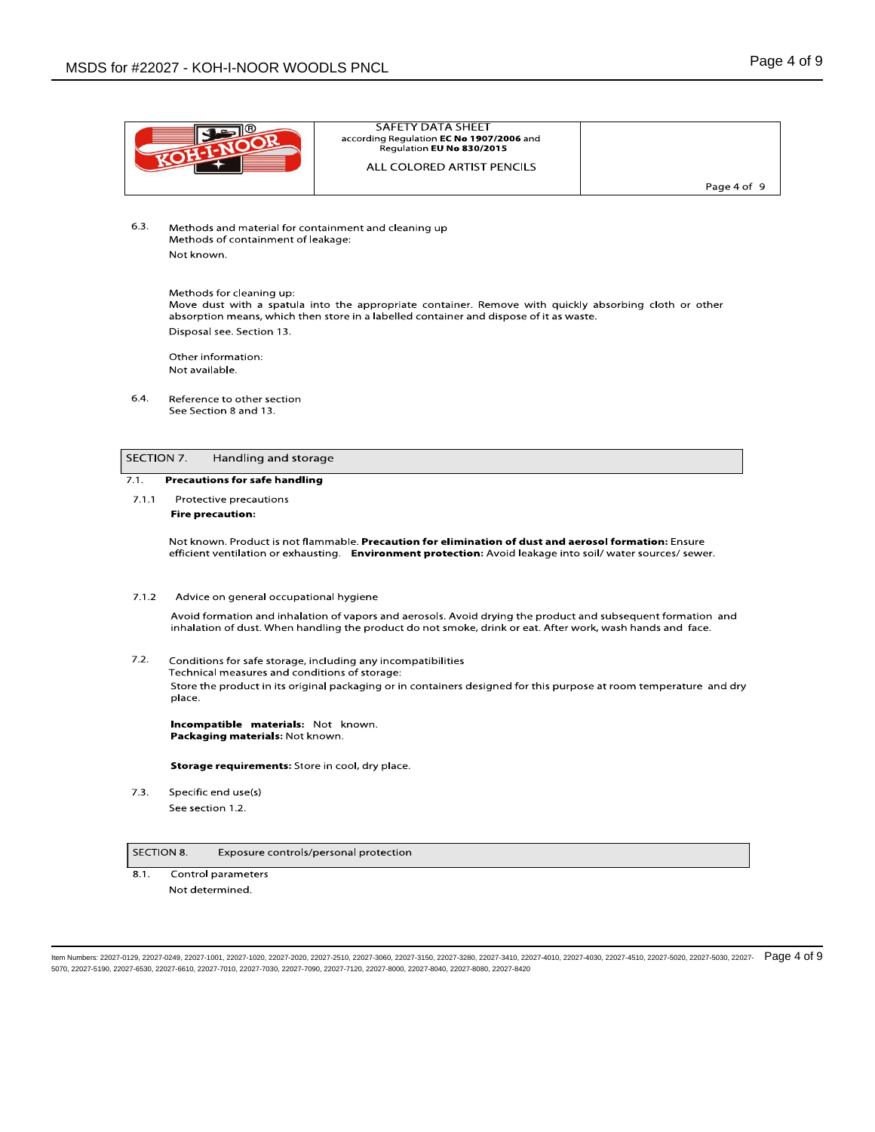|            |                                                                                                               | <b>SAFETY DATA SHEET</b><br>according Regulation EC No 1907/2006 and                                                                                                                            |             |
|------------|---------------------------------------------------------------------------------------------------------------|-------------------------------------------------------------------------------------------------------------------------------------------------------------------------------------------------|-------------|
|            |                                                                                                               | Regulation EU No 830/2015                                                                                                                                                                       |             |
|            |                                                                                                               | ALL COLORED ARTIST PENCILS                                                                                                                                                                      |             |
|            |                                                                                                               |                                                                                                                                                                                                 | Page 4 of 9 |
|            |                                                                                                               |                                                                                                                                                                                                 |             |
| 6.3.       | Methods and material for containment and cleaning up                                                          |                                                                                                                                                                                                 |             |
|            | Methods of containment of leakage:                                                                            |                                                                                                                                                                                                 |             |
|            | Not known.                                                                                                    |                                                                                                                                                                                                 |             |
|            |                                                                                                               |                                                                                                                                                                                                 |             |
|            | Methods for cleaning up:                                                                                      |                                                                                                                                                                                                 |             |
|            |                                                                                                               | Move dust with a spatula into the appropriate container. Remove with quickly absorbing cloth or other<br>absorption means, which then store in a labelled container and dispose of it as waste. |             |
|            | Disposal see. Section 13.                                                                                     |                                                                                                                                                                                                 |             |
|            | Other information:                                                                                            |                                                                                                                                                                                                 |             |
|            | Not available.                                                                                                |                                                                                                                                                                                                 |             |
|            |                                                                                                               |                                                                                                                                                                                                 |             |
| 6.4.       | Reference to other section                                                                                    |                                                                                                                                                                                                 |             |
|            | See Section 8 and 13.                                                                                         |                                                                                                                                                                                                 |             |
|            |                                                                                                               |                                                                                                                                                                                                 |             |
| SECTION 7. | Handling and storage                                                                                          |                                                                                                                                                                                                 |             |
| 7.1.       |                                                                                                               |                                                                                                                                                                                                 |             |
|            | <b>Precautions for safe handling</b>                                                                          |                                                                                                                                                                                                 |             |
| 7.1.1      | Protective precautions                                                                                        |                                                                                                                                                                                                 |             |
|            | <b>Fire precaution:</b>                                                                                       |                                                                                                                                                                                                 |             |
|            |                                                                                                               | Not known. Product is not flammable. Precaution for elimination of dust and aerosol formation: Ensure                                                                                           |             |
|            |                                                                                                               | efficient ventilation or exhausting. Environment protection: Avoid leakage into soil/ water sources/ sewer.                                                                                     |             |
|            |                                                                                                               |                                                                                                                                                                                                 |             |
| 7.1.2      | Advice on general occupational hygiene                                                                        |                                                                                                                                                                                                 |             |
|            |                                                                                                               | Avoid formation and inhalation of vapors and aerosols. Avoid drying the product and subsequent formation and                                                                                    |             |
|            |                                                                                                               | inhalation of dust. When handling the product do not smoke, drink or eat. After work, wash hands and face.                                                                                      |             |
| 7.2.       |                                                                                                               |                                                                                                                                                                                                 |             |
|            | Conditions for safe storage, including any incompatibilities<br>Technical measures and conditions of storage: |                                                                                                                                                                                                 |             |
|            |                                                                                                               | Store the product in its original packaging or in containers designed for this purpose at room temperature and dry                                                                              |             |
|            | place.                                                                                                        |                                                                                                                                                                                                 |             |
|            | Incompatible materials: Not known.                                                                            |                                                                                                                                                                                                 |             |
|            | Packaging materials: Not known.                                                                               |                                                                                                                                                                                                 |             |
|            |                                                                                                               |                                                                                                                                                                                                 |             |
|            | Storage requirements: Store in cool, dry place.                                                               |                                                                                                                                                                                                 |             |

 $7.3.$ Specific end use(s) See section 1.2.

### SECTION 8. Exposure controls/personal protection

 $8.1.$ Control parameters Not determined.

ltem Numbers: 22027-0129, 22027-0249, 22027-1001, 22027-1020, 22027-2020, 22027-3510, 22027-3060, 22027-35150, 22027-3380, 22027-3410, 22027-4010, 22027-4030, 22027-4510, 22027-5020, 22027-5030, 22027-6708, 22027-4510, 220 5070, 22027-5190, 22027-6530, 22027-6610, 22027-7010, 22027-7030, 22027-7090, 22027-7120, 22027-8000, 22027-8040, 22027-8080, 22027-8420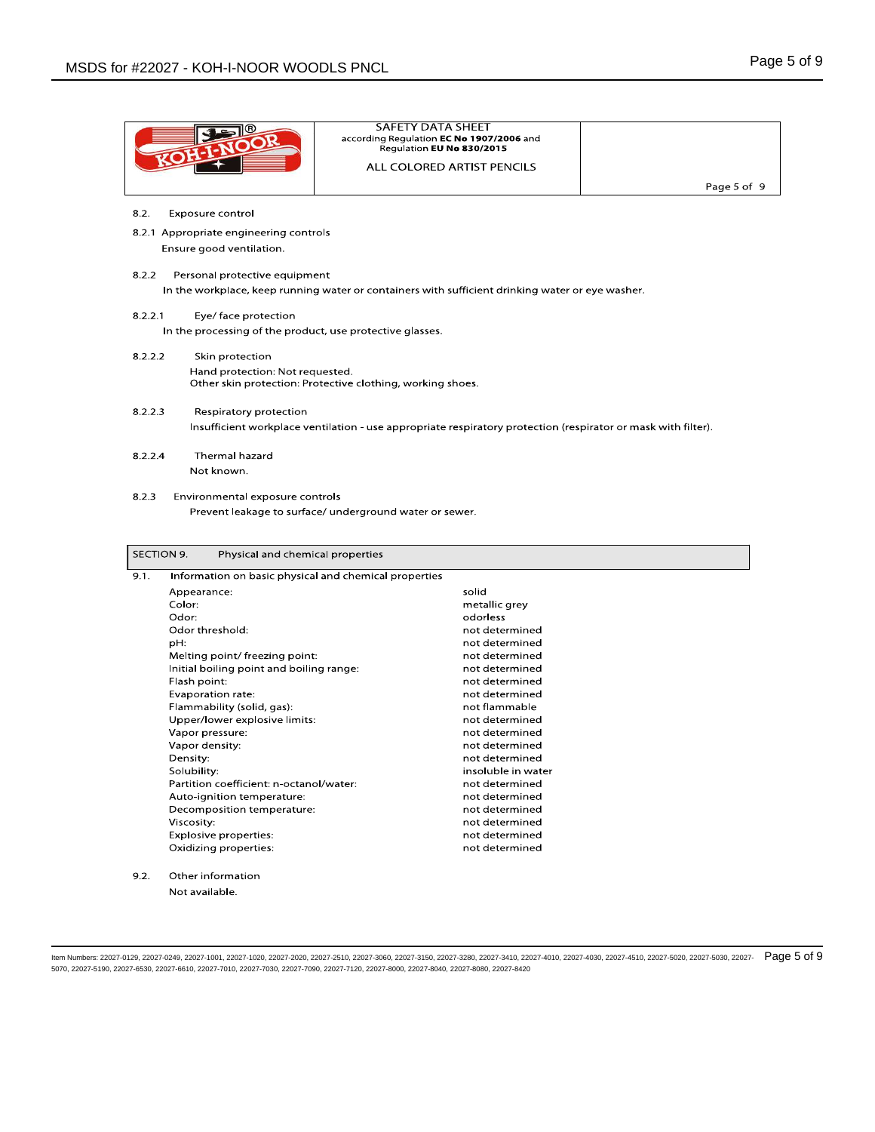|                                                               | <b>SAFETY DATA SHEET</b>                                                                                      |             |
|---------------------------------------------------------------|---------------------------------------------------------------------------------------------------------------|-------------|
|                                                               | according Regulation EC No 1907/2006 and                                                                      |             |
|                                                               | Regulation EU No 830/2015                                                                                     |             |
|                                                               | ALL COLORED ARTIST PENCILS                                                                                    |             |
|                                                               |                                                                                                               | Page 5 of 9 |
|                                                               |                                                                                                               |             |
| 8.2.<br>Exposure contro                                       |                                                                                                               |             |
| 8.2.1 Appropriate engineering controls                        |                                                                                                               |             |
| Ensure good ventilation.                                      |                                                                                                               |             |
| 8.2.2<br>Personal protective equipment                        |                                                                                                               |             |
|                                                               | In the workplace, keep running water or containers with sufficient drinking water or eye washer.              |             |
|                                                               |                                                                                                               |             |
| 8.2.2.1<br>Eye/ face protection                               |                                                                                                               |             |
| In the processing of the product, use protective glasses.     |                                                                                                               |             |
| 8.2.2.2<br>Skin protection                                    |                                                                                                               |             |
| Hand protection: Not requested.                               |                                                                                                               |             |
| Other skin protection: Protective clothing, working shoes.    |                                                                                                               |             |
| 8.2.2.3<br>Respiratory protection                             |                                                                                                               |             |
|                                                               | Insufficient workplace ventilation - use appropriate respiratory protection (respirator or mask with filter). |             |
|                                                               |                                                                                                               |             |
| Thermal hazard<br>8.2.2.4                                     |                                                                                                               |             |
|                                                               |                                                                                                               |             |
| Not known.                                                    |                                                                                                               |             |
|                                                               |                                                                                                               |             |
| 8.2.3                                                         |                                                                                                               |             |
| Environmental exposure controls                               |                                                                                                               |             |
| Prevent leakage to surface/ underground water or sewer.       |                                                                                                               |             |
|                                                               |                                                                                                               |             |
|                                                               |                                                                                                               |             |
| SECTION 9.<br>Physical and chemical properties                |                                                                                                               |             |
| Information on basic physical and chemical properties<br>9.1. |                                                                                                               |             |
| Appearance:                                                   | solid                                                                                                         |             |
| Color:                                                        | metallic grey                                                                                                 |             |
| Odor:                                                         | odorless                                                                                                      |             |
| Odor threshold:                                               | not determined                                                                                                |             |
| pH:                                                           | not determined                                                                                                |             |
| Melting point/freezing point:                                 | not determined                                                                                                |             |
| Initial boiling point and boiling range:<br>Flash point:      | not determined<br>not determined                                                                              |             |
| Evaporation rate:                                             | not determined                                                                                                |             |
| Flammability (solid, gas):                                    | not flammable                                                                                                 |             |
| Upper/lower explosive limits:                                 | not determined                                                                                                |             |
| Vapor pressure:                                               | not determined                                                                                                |             |
| Vapor density:                                                | not determined                                                                                                |             |
| Density:                                                      | not determined                                                                                                |             |
| Solubility:                                                   | insoluble in water                                                                                            |             |
| Partition coefficient: n-octanol/water:                       | not determined                                                                                                |             |
| Auto-ignition temperature:                                    | not determined<br>not determined                                                                              |             |
| Decomposition temperature:<br>Viscosity:                      | not determined                                                                                                |             |
| Explosive properties:                                         | not determined                                                                                                |             |
| Oxidizing properties:                                         | not determined                                                                                                |             |
|                                                               |                                                                                                               |             |
| 9.2.<br>Other information<br>Not available.                   |                                                                                                               |             |

ltem Numbers: 22027-0129, 22027-0249, 22027-1001, 22027-1020, 22027-2020, 22027-3510, 22027-3060, 22027-35150, 22027-3380, 22027-3410, 22027-4010, 22027-4030, 22027-4510, 22027-5020, 22027-5030, 22027-679, 22027-4510, 2202 5070, 22027-5190, 22027-6530, 22027-6610, 22027-7010, 22027-7030, 22027-7090, 22027-7120, 22027-8000, 22027-8040, 22027-8080, 22027-8420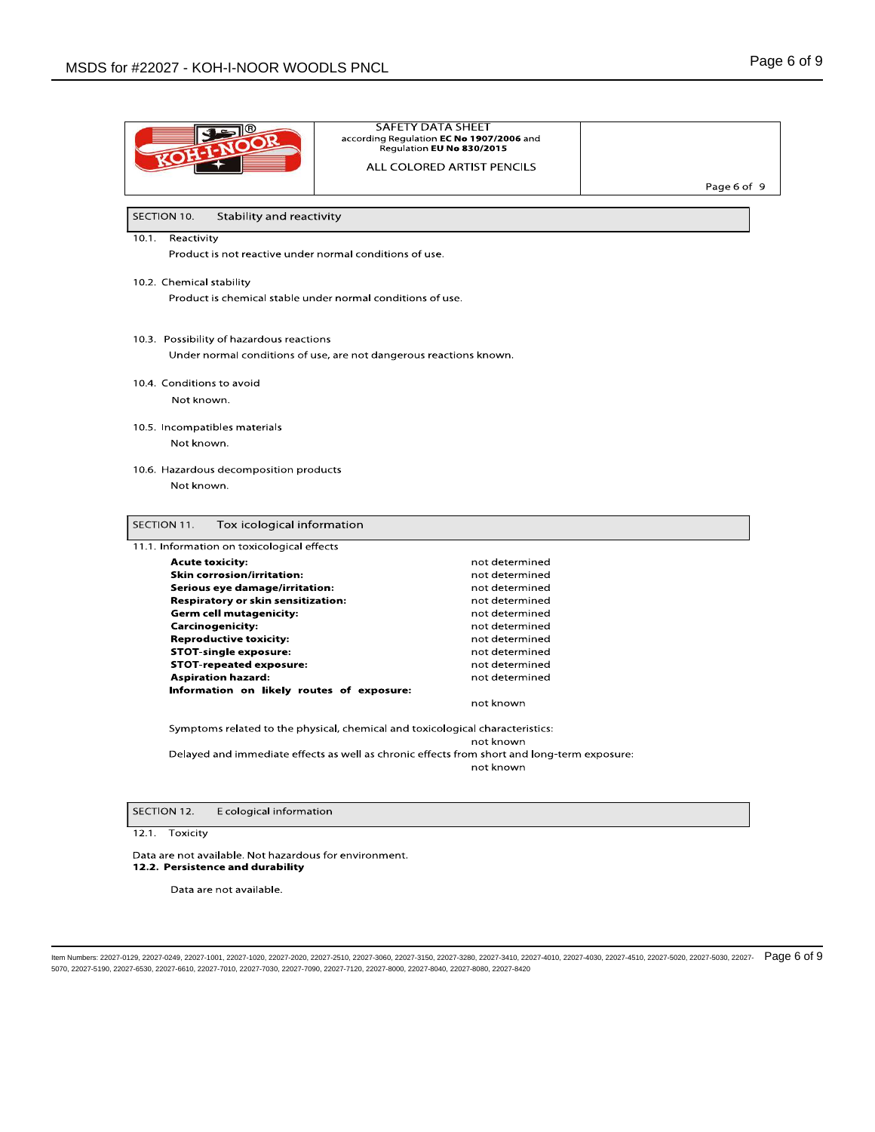|                                                         | <b>SAFETY DATA SHEET</b>                                                                    |             |
|---------------------------------------------------------|---------------------------------------------------------------------------------------------|-------------|
|                                                         | according Regulation EC No 1907/2006 and                                                    |             |
|                                                         | Regulation EU No 830/2015                                                                   |             |
|                                                         | ALL COLORED ARTIST PENCILS                                                                  |             |
|                                                         |                                                                                             | Page 6 of 9 |
|                                                         |                                                                                             |             |
| SECTION 10.<br>Stability and reactivity                 |                                                                                             |             |
| Reactivity<br>10.1.                                     |                                                                                             |             |
| Product is not reactive under normal conditions of use. |                                                                                             |             |
| 10.2. Chemical stability                                |                                                                                             |             |
|                                                         | Product is chemical stable under normal conditions of use.                                  |             |
|                                                         |                                                                                             |             |
| 10.3. Possibility of hazardous reactions                |                                                                                             |             |
|                                                         | Under normal conditions of use, are not dangerous reactions known.                          |             |
|                                                         |                                                                                             |             |
| 10.4. Conditions to avoid                               |                                                                                             |             |
| Not known.                                              |                                                                                             |             |
| 10.5. Incompatibles materials                           |                                                                                             |             |
| Not known.                                              |                                                                                             |             |
|                                                         |                                                                                             |             |
| 10.6. Hazardous decomposition products                  |                                                                                             |             |
| Not known.                                              |                                                                                             |             |
|                                                         |                                                                                             |             |
| SECTION 11.<br>Tox icological information               |                                                                                             |             |
| 11.1. Information on toxicological effects              |                                                                                             |             |
|                                                         |                                                                                             |             |
| <b>Acute toxicity:</b>                                  | not determined                                                                              |             |
| <b>Skin corrosion/irritation:</b>                       | not determined                                                                              |             |
| Serious eye damage/irritation:                          | not determined                                                                              |             |
| <b>Respiratory or skin sensitization:</b>               | not determined                                                                              |             |
| <b>Germ cell mutagenicity:</b>                          | not determined                                                                              |             |
| <b>Carcinogenicity:</b>                                 | not determined                                                                              |             |
| <b>Reproductive toxicity:</b>                           | not determined                                                                              |             |
| <b>STOT-single exposure:</b>                            | not determined                                                                              |             |
| <b>STOT-repeated exposure:</b>                          | not determined                                                                              |             |
| <b>Aspiration hazard:</b>                               | not determined                                                                              |             |
| Information on likely routes of exposure:               | not known                                                                                   |             |
|                                                         |                                                                                             |             |
|                                                         | Symptoms related to the physical, chemical and toxicological characteristics:               |             |
|                                                         | not known                                                                                   |             |
|                                                         | Delayed and immediate effects as well as chronic effects from short and long-term exposure: |             |
|                                                         | not known                                                                                   |             |
|                                                         |                                                                                             |             |

Data are not available. Not hazardous for environment. 12.2. Persistence and durability

Data are not available.

ltem Numbers: 22027-0129, 22027-0249, 22027-1001, 22027-1020, 22027-2020, 22027-3510, 22027-3060, 22027-35150, 22027-3380, 22027-3410, 22027-4010, 22027-4030, 22027-4510, 22027-5020, 22027-5030, 22027-679, 22027-4510, 2202 5070, 22027-5190, 22027-6530, 22027-6610, 22027-7010, 22027-7030, 22027-7090, 22027-7120, 22027-8000, 22027-8040, 22027-8080, 22027-8420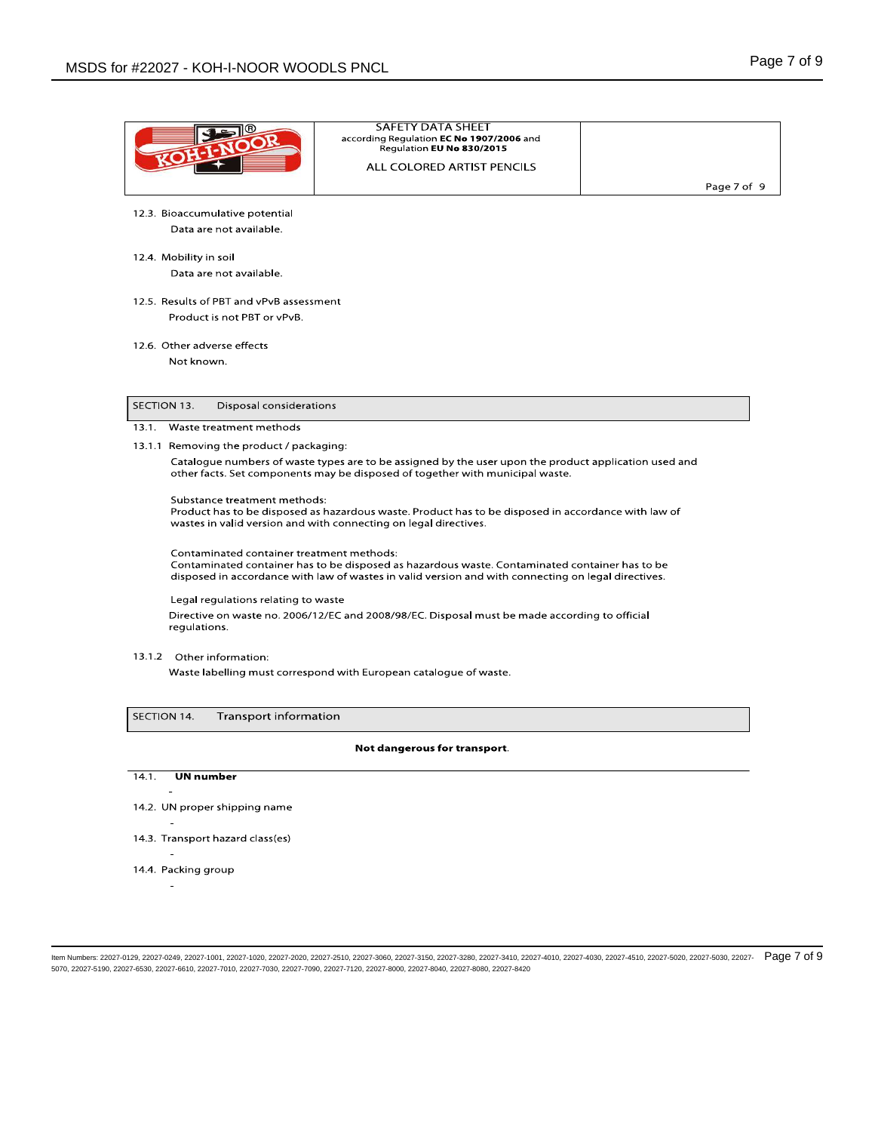|             |                                           | <b>SAFETY DATA SHEET</b><br>according Regulation EC No 1907/2006 and<br>Regulation EU No 830/2015                                                                                                     |             |
|-------------|-------------------------------------------|-------------------------------------------------------------------------------------------------------------------------------------------------------------------------------------------------------|-------------|
|             |                                           | ALL COLORED ARTIST PENCILS                                                                                                                                                                            |             |
|             |                                           |                                                                                                                                                                                                       | Page 7 of 9 |
|             | 12.3. Bioaccumulative potential           |                                                                                                                                                                                                       |             |
|             | Data are not available.                   |                                                                                                                                                                                                       |             |
|             | 12.4. Mobility in soil                    |                                                                                                                                                                                                       |             |
|             | Data are not available.                   |                                                                                                                                                                                                       |             |
|             | 12.5. Results of PBT and vPvB assessment  |                                                                                                                                                                                                       |             |
|             | Product is not PBT or vPvB.               |                                                                                                                                                                                                       |             |
|             |                                           |                                                                                                                                                                                                       |             |
|             | 12.6. Other adverse effects<br>Not known. |                                                                                                                                                                                                       |             |
|             |                                           |                                                                                                                                                                                                       |             |
|             |                                           |                                                                                                                                                                                                       |             |
| SECTION 13. | Disposal considerations                   |                                                                                                                                                                                                       |             |
| 13.1.       | Waste treatment methods                   |                                                                                                                                                                                                       |             |
|             | 13.1.1 Removing the product / packaging:  |                                                                                                                                                                                                       |             |
|             |                                           | Catalogue numbers of waste types are to be assigned by the user upon the product application used and<br>other facts. Set components may be disposed of together with municipal waste.                |             |
|             | Substance treatment methods:              | Product has to be disposed as hazardous waste. Product has to be disposed in accordance with law of<br>wastes in valid version and with connecting on legal directives.                               |             |
|             | Contaminated container treatment methods: | Contaminated container has to be disposed as hazardous waste. Contaminated container has to be<br>disposed in accordance with law of wastes in valid version and with connecting on legal directives. |             |
|             | Legal regulations relating to waste       |                                                                                                                                                                                                       |             |
|             | regulations.                              | Directive on waste no. 2006/12/EC and 2008/98/EC. Disposal must be made according to official                                                                                                         |             |
|             | 13.1.2 Other information:                 |                                                                                                                                                                                                       |             |
|             |                                           | Waste labelling must correspond with European catalogue of waste.                                                                                                                                     |             |
| SECTION 14. |                                           |                                                                                                                                                                                                       |             |
|             | <b>Transport information</b>              |                                                                                                                                                                                                       |             |
|             |                                           | Not dangerous for transport.                                                                                                                                                                          |             |
| 14.1.       | <b>UN</b> number                          |                                                                                                                                                                                                       |             |
|             | $\overline{\phantom{a}}$                  |                                                                                                                                                                                                       |             |
|             | 14.2. UN proper shipping name             |                                                                                                                                                                                                       |             |
|             | 14.3. Transport hazard class(es)          |                                                                                                                                                                                                       |             |
|             |                                           |                                                                                                                                                                                                       |             |
|             | 14.4. Packing group                       |                                                                                                                                                                                                       |             |

 $\sim$ 

ltem Numbers: 22027-0129, 22027-0249, 22027-1001, 22027-1020, 22027-2020, 22027-3506, 22027-3060, 22027-33150, 22027-3380, 22027-3410, 22027-4010, 22027-4030, 22027-4510, 22027-5020, 22027-5030, 22027-67  $\Theta$ 5070, 22027-5190, 22027-6530, 22027-6610, 22027-7010, 22027-7030, 22027-7090, 22027-7120, 22027-8000, 22027-8040, 22027-8080, 22027-8420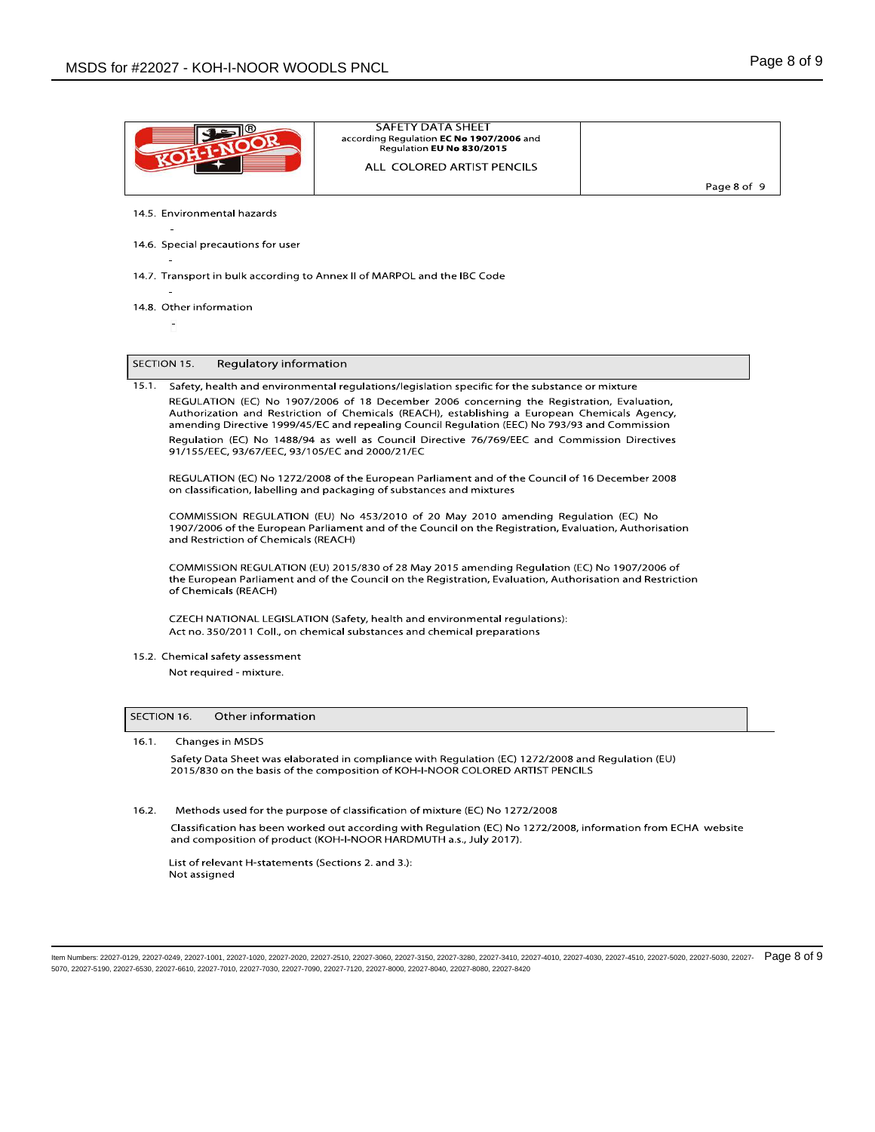|       |                                                 | <b>SAFETY DATA SHEET</b><br>according Regulation EC No 1907/2006 and                                                                                                                                                                                                                        |             |
|-------|-------------------------------------------------|---------------------------------------------------------------------------------------------------------------------------------------------------------------------------------------------------------------------------------------------------------------------------------------------|-------------|
|       |                                                 | Regulation EU No 830/2015                                                                                                                                                                                                                                                                   |             |
|       |                                                 | ALL COLORED ARTIST PENCILS                                                                                                                                                                                                                                                                  |             |
|       |                                                 |                                                                                                                                                                                                                                                                                             | Page 8 of 9 |
|       | 14.5. Environmental hazards                     |                                                                                                                                                                                                                                                                                             |             |
|       | 14.6. Special precautions for user              |                                                                                                                                                                                                                                                                                             |             |
|       |                                                 | 14.7. Transport in bulk according to Annex II of MARPOL and the IBC Code                                                                                                                                                                                                                    |             |
|       | 14.8. Other information                         |                                                                                                                                                                                                                                                                                             |             |
|       |                                                 |                                                                                                                                                                                                                                                                                             |             |
|       | SECTION 15.<br>Regulatory information           |                                                                                                                                                                                                                                                                                             |             |
| 15.1. |                                                 | Safety, health and environmental regulations/legislation specific for the substance or mixture                                                                                                                                                                                              |             |
|       |                                                 | REGULATION (EC) No 1907/2006 of 18 December 2006 concerning the Registration, Evaluation,<br>Authorization and Restriction of Chemicals (REACH), establishing a European Chemicals Agency,<br>amending Directive 1999/45/EC and repealing Council Regulation (EEC) No 793/93 and Commission |             |
|       | 91/155/EEC, 93/67/EEC, 93/105/EC and 2000/21/EC | Regulation (EC) No 1488/94 as well as Council Directive 76/769/EEC and Commission Directives                                                                                                                                                                                                |             |
|       |                                                 | REGULATION (EC) No 1272/2008 of the European Parliament and of the Council of 16 December 2008<br>on classification, labelling and packaging of substances and mixtures                                                                                                                     |             |
|       | and Restriction of Chemicals (REACH)            | COMMISSION REGULATION (EU) No 453/2010 of 20 May 2010 amending Regulation (EC) No<br>1907/2006 of the European Parliament and of the Council on the Registration, Evaluation, Authorisation                                                                                                 |             |
|       | of Chemicals (REACH)                            | COMMISSION REGULATION (EU) 2015/830 of 28 May 2015 amending Regulation (EC) No 1907/2006 of<br>the European Parliament and of the Council on the Registration, Evaluation, Authorisation and Restriction                                                                                    |             |
|       |                                                 | CZECH NATIONAL LEGISLATION (Safety, health and environmental regulations):<br>Act no. 350/2011 Coll., on chemical substances and chemical preparations                                                                                                                                      |             |
|       | 15.2. Chemical safety assessment                |                                                                                                                                                                                                                                                                                             |             |
|       | Not required - mixture.                         |                                                                                                                                                                                                                                                                                             |             |
|       | Other information<br>SECTION 16.                |                                                                                                                                                                                                                                                                                             |             |
| 16.1. | Changes in MSDS                                 |                                                                                                                                                                                                                                                                                             |             |
|       |                                                 | Safety Data Sheet was elaborated in compliance with Regulation (EC) 1272/2008 and Regulation (EU)<br>2015/830 on the basis of the composition of KOH-I-NOOR COLORED ARTIST PENCILS                                                                                                          |             |
| 16.2. |                                                 | Methods used for the purpose of classification of mixture (EC) No 1272/2008                                                                                                                                                                                                                 |             |
|       |                                                 | Classification has been worked out according with Regulation (EC) No 1272/2008, information from ECHA website<br>and composition of product (KOH-I-NOOR HARDMUTH a.s., July 2017).                                                                                                          |             |
|       |                                                 |                                                                                                                                                                                                                                                                                             |             |

ltem Numbers: 22027-0129, 22027-0249, 22027-1001, 22027-1020, 22027-2020, 22027-3506, 22027-3060, 22027-33150, 22027-3380, 22027-3410, 22027-4010, 22027-4030, 22027-4510, 22027-5020, 22027-5030, 22027-6708, 22027-4510, 220 5070, 22027-5190, 22027-6530, 22027-6610, 22027-7010, 22027-7030, 22027-7090, 22027-7120, 22027-8000, 22027-8040, 22027-8080, 22027-8420